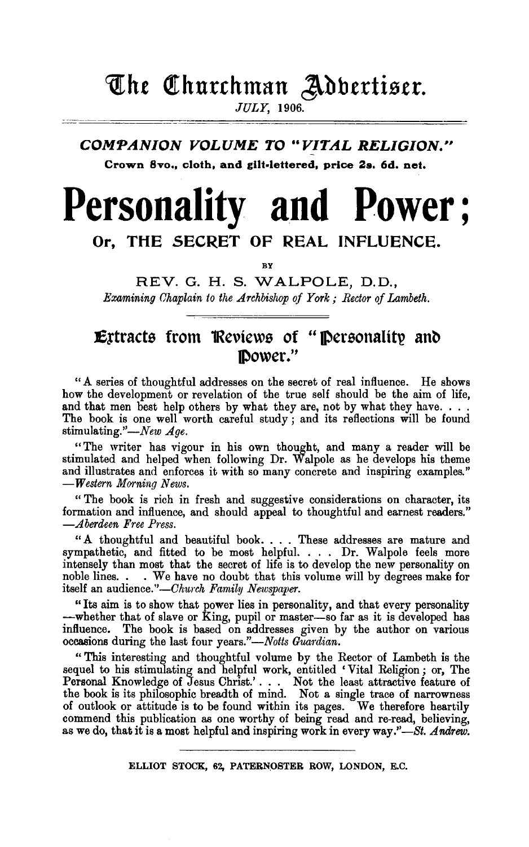## **The Churchman Adbertiser.**

JULY, 1906.

### **COMPANION VOLUME TO "VITAL RELIGION." Crown 8vo,, cloth, and gilt-lettered, price 2s. 6d. net.**

# **Personality and Power;**

## **Or, THE SECRET OF REAL INFLUENCE.**

**BY** 

REV. G. H. S. WALPOLE, D.D., *Examining Chaplain to the Archbishop of York; Rector of Lambeth.* 

## **Extracts from Reviews of "Personality and power."**

"A series of thoughtful addresses on the secret of real influence. He shows how the development or revelation of the true self should be the aim of life, and that men best help others by what they are, not by what they have. . . . The book is one well worth careful study; and its reflections will be found stimulating."-New Age.

"The writer has vigour in his own thought, and many a reader will be stimulated and helped when following Dr. Walpole as he develops his theme and illustrates and enforces it with so many concrete and inspiring examples." *-Western Morning News.* 

" The book is rich in fresh and suggestive considerations on character, its formation and influence, and should appeal to thoughtful and earnest readers." *-Aberdeen Free Press.* 

"A thoughtful and beautiful book .... These addresses are mature and sympathetic, and fitted to be most helpful. . . . Dr. Walpole feels more intensely than most that the secret of life is to develop the new personality on noble lines. . . We have no doubt that this volume will by degrees make for itself an audience."-Church Family Newspaper.

"Its aim is to show that power lies in personality, and that every personality -whether that of slave or King, pupil or master-so far as it is developed has influence. The book is based on addresses given by the author on various occasions during the last four *years."-Notts Guardian*.

" This interesting and thoughtful volume by the Rector of Lambeth is the sequel to his stimulating and helpful work, entitled ' Vital Religion ; or, The Personal Knowledge of Jesus Christ.' . . . Not the least attractive feature of the book is its philosophic breadth of mind. Not a single trace of narrowness of outlook or attitude is to be found within its pages. We therefore heartily commend this publication as one worthy of being read and re-read, believing, as we do, that it is a most helpful and inspiring work in every way."-St. Andrew.

ELLIOT STOCK, 62, PATERNOSTER ROW, LONDON, E.C.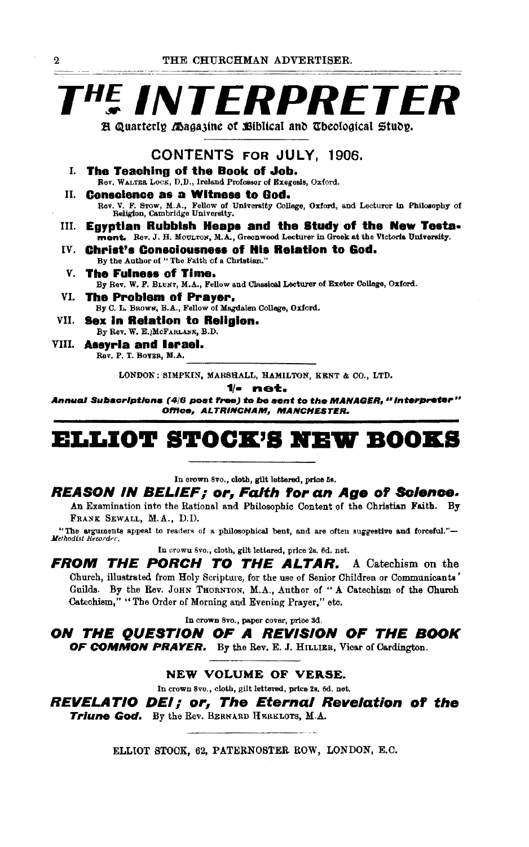## T<sup>he</sup> INTERPRETER H Quarterly Magazine of Biblical and Theological Study.

### **CONTENTS FOR JULY. 1906.**

- T. The Teaching of the Book of Job. Rev. WALTER LOCK, D.D., Ireland Professor of Exegesis, Oxford.
- П. **Conscience as a Witness to God.** Rev. V. F. Srow, M.A., Fellow of University College, Oxford, and Lecturer in Philosophy of Religion, Cambridge University.
- III. Egyptian Rubbish Heaps and the Study of the New Testament. Rev. J. H. MOULTON, M.A., Greenwood Lecturer in Greek at the Victoria University.
- IV. Christ's Consciousness of His Relation to God. By the Author of "The Faith of a Christian."
- The Fulness of Time. V. By Rev. W. F. BLUNT, M.A., Fellow and Classical Lecturer of Exeter College, Oxford.
- The Problem of Praver. VL. By C. L. BROWN, B.A., Fellow of Magdalen College, Oxford.
- VII. Sex in Retation to Religion. By Rev. W. E. McFARLANE, B.D.
- VIII. Assyria and Israel. Rev. P. T. BOYER, M.A.

LONDON: SIMPKIN, MARSHALL, HAMILTON, KENT & CO., LTD.

1⁄- net.

Annual Subscriptions (4/6 post free) to be sent to the MANAGER, " interpreter " Office, ALTRINCHAM, MANCHESTER.

## **ELLIOT STOCK'S NEW BOOKS**

In crown 8vo., cloth, gilt lettered, price 5s.

#### REASON IN BELIEF; or, Falth for an Age of Science.

An Examination into the Rational and Philosophic Content of the Christian Faith. By FRANK SEWALL, M.A., D.D.

"The arguments appeal to readers of a philosophical bent, and are often suggestive and forceful."-Methodist Recorder.

In crown 8vo., cloth, gilt lettered, price 2s. 6d. net.

FROM THE PORCH TO THE ALTAR. A Catechism on the Church, illustrated from Holy Scripture, for the use of Senior Children or Communicants' Guilds. By the Rev. JOHN THORNTON, M.A., Author of "A Catechism of the Church Catcchism," "The Order of Morning and Evening Prayer," etc.

In crown 8vo., paper cover, price 3d.

ON THE QUESTION OF A REVISION OF THE BOOK OF COMMON PRAYER. By the Rev. E. J. HILLIER, Vicar of Cardington.

#### NEW VOLUME OF VERSE.

In crown 8vo., cloth, gilt lettered, price 2s. 6d. net.

**REVELATIO DEI; or, The Eternal Revelation of the** Triune God. By the Rev. BERNARD HERKLOTS, M.A.

ELLIOT STOCK, 62, PATERNOSTER ROW, LONDON, E.C.

 $\Omega$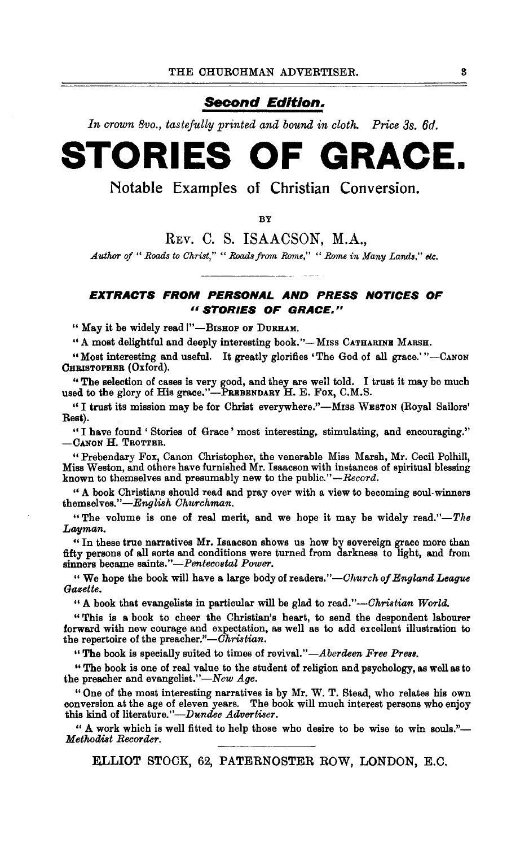#### **Second Edition.**

*In crown 8vo., tastefully printed and bound in cloth. Price 3s. 6d.* 

## **STORIES OF GRACE.**

Notable Examples of Christian Conversion.

**RV** 

REv. C. S. ISAACSON, M.A.,

*Author of" Roads to Ghrist," "Roads from Rome," "Rome in Many Lands," etc.* 

#### **EXTRACTS FROM PERSONAL AND PRESS NOTICES OF**  *<sup>11</sup>***STORIES OF GRACE."**

" May it be widely read !"-BISHOP OF DURHAM.

"A most delightful and deeply interesting book."-MISS CATHARINE MARSH.

"Most interesting and useful. It greatly glorifies 'The God of all grace.'"-CANON CHRISTOPHER (Oxford).

'' The selection of cases is very good, and they are well told. I trust it may be much used to the glory of His grace."-PREBENDARY H. E. Fox, C.M.S.

"I trust its mission may be for Christ everywhere."-MISS WESTON (Royal Sailors' Rest).

"I have found 'Stories of Grace' most interesting, stimulating, and encouraging."  $-$ Canon H. Trotter.

"Prebendary Fox, Canon Christopher, the venerable Miss Marsh, Mr. Cecil Polhill, Miss Weston, and others have furnished Mr. Isaacson with instances of spiritual blessing known to themselves and presumably new to the public."-Record.

"A book Christians should read and pray over with a view to becoming soul-winners themselves."-English Churchman.

"The volume is one of real merit, and we hope it may be widely read."-The *Lwyman.* 

" In these true narratives Mr. Isaacson shows us how by sovereign grace more than fifty persons of all sorts and conditions were turned from darkness to light, and from sinners became *saints."-Pentecostal Power.* 

" We hope the book will have a large body of readers."-Church of England League *Gazette.* 

"A book that evangelists in particular will be glad to read."-Christian World.

"This is a book to cheer the Christian's heart, to send the despondent labourer forward with new courage and expectation, as well as to add excellent illustration to the repertoire of the preacher."- $\tilde{C}h$ ristian.

"The book is specially suited to times of *revival."-Aberdeen Free Press.* 

"The book is one of real value to the student of religion and psychology, as well as to the preacher and evangelist."-New Age.

"One of the most interesting narratives is by Mr. W. T. Stead, who relates his own conversion at the age of eleven years. The book will much interest persons who enjoy this kind of literature."-Dundee Advertiser.

" A work which is well fitted to help those who desire to be wise to win souls."-*Methodi8t Recorder.* 

ELLIOT STOCK, 62, PATERNOSTER ROW, LONDON, E.C.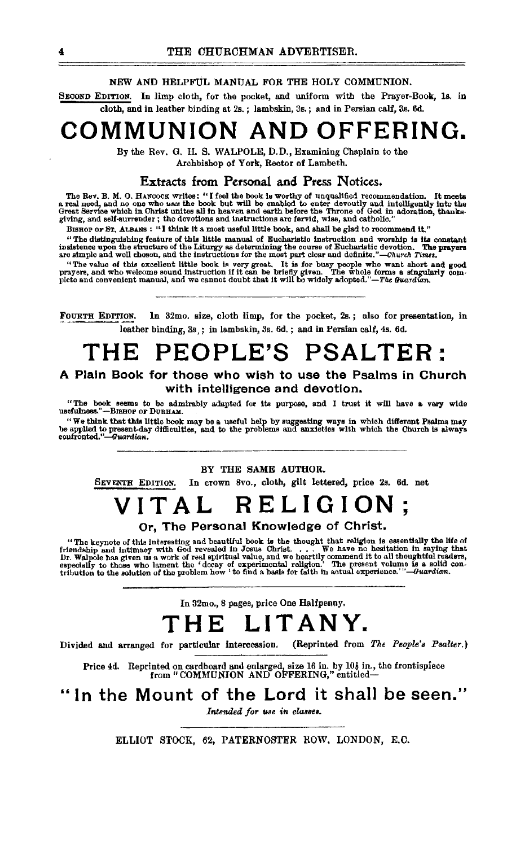#### NEW AND HELPFUL MANUAL FOR THE HOI,Y COMMUNION.

SECOND EDITION. In limp cloth, for the pocket, and uniform with the Prayer-Book, ls. in cloth, and in leather binding at 2s. ; lambskin, 3s. ; and in Persian calf, 3s. 6d.

## **COMMUNION AND OFFERING.**

By the Rev. G. H. S. WALPOLE, D. D., Examining Chaplain to the Archbishop of York, Rector of Lambeth.

**Extracts from Personal and Press Notices.**<br>The Rev. B. M. O. HANCOCK writes: "I feel the book is worthy of unqualified recommendation. The Rev. B. M. O. HANCOCK writes: "I feel the book is worthy of unqualified recommendation. It meets<br>a real need, and no one who uses the book but will be enabled to enter devoutly and intelligently into the<br>Great Service

BISHOP OF ST. ALBANS : "I think it a most useful little book, and shall be glad to recommend it."

"The distinguishing feature of this little manual of Eucharistic instruction and worship is its constant insistence upon the structure of the Liturgy as determining the course of Eucharistic devotion. The prayers are simp

"The value of this excellent little book is very great. It is for busy people who want short and good prayers, and who welcome sound instruction if it can be briefly given. The whole forms a singularly com-<br>plete and convenient manual, and we cannot doubt that It will be widely adopted."-The Guardian.

FoURTH EDITION. In 32mo. size, cloth limp, for the pocket, 2s. ; also for presentation, in leather binding,  $3s$ ; in lambskin,  $3s$ . 6d.; and in Persian calf,  $4s$ . 6d.

## **THE PEOPLE'S PSALTER:**

A Plain Book for those who wish to use the Psalms in Church with intelligence and devotion.

"The book seems to be admirably adapted for its purpose, and I trust it will have a very wide usefulness."--BISHOP OF DURHAM.

"We think that this little book may be a useful help by suggesting ways in which different Psalms may<br>be applied to present-day difficulties, and to the problems and anxieties with which the Church is always<br>confronted."—G

#### BY THE SAME AUTHOR.

SEVENTH EDITION. In crown 8vo., cloth, gilt lettered, price 2s. 6d. net

## TAL RELIG

#### Or, The Personal Knowledge of Christ.

"The keynote of this interesting and beautiful book is the thought that religion is essentially the life of friendship and intimacy with God revealed in Josus Christ. . . . We have no hesitation in saying that Dr. Walpole

In 32mo., 8 pages, price One Haltpenny.

## **THE LITANY.**

Divided and arranged for particular intercession. (Reprinted from *The People's Psalter.*)

Price 4d. Reprinted on cardboard and enlarged, size 16 in. by 10 $\frac{1}{6}$  in., the frontispiece from "COMMUNION AND OFFERING," entitled-

### "In the Mount of the Lord it shall be seen."

*Intended for use in classes.* 

ELLIOT STOCK, 62, PATERNOSTER ROW, LONDON, E.C.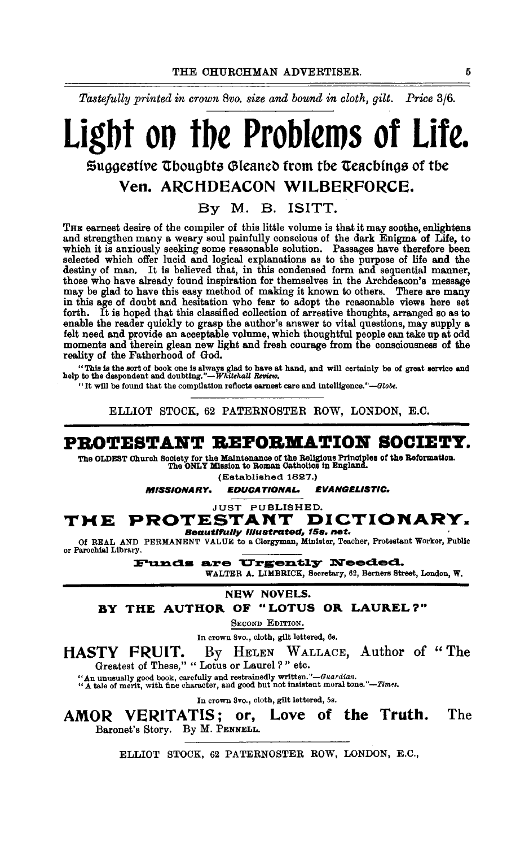*Tastefully printed in crown 8vo. size and bound in cloth, gilt. Price* 3j6.

# Ligbt oo tbe Problems of Life.

 $\frak s$ uggestive Thoughts Gleaned from the Teachings of the

### Yen. ARCHDEACON WILBERFORCE.

By M. B. ISITT.

THE earnest desire of the compiler of this little volume is that it may soothe, enlightens and strengthen many a weary soul painfully conscious of the dark Enigma of Life, to which it is anxiously seeking some reasonable solution. Passages have therefore been selected which offer lucid and logical explanations as to the purpose of life and the destiny of man. It is believed that, in this condensed form and sequential manner, those who have already found inspiration for themselves in the Archdeacon's message may be glad to have this easy method of making it known to others. There are many in this age of doubt and hesitation who fear to adopt the reasonable views here set forth. It is hoped that this classified collection of arrestive thoughts, arranged so as to enable the reader quickly to grasp the author's answer to vital questions, may supply a felt need and provide an acceptable volume, which thoughtful people can take up at odd moments and therein glean new light and fresh courage from the consciousness of the reality of the Fatherhood of God.

"This is the sort of book one is always glad to have at hand, and will certainly be of great service and help to the despondent and doubting."-*Whitehall Review*.

"It will be found that the compilation reflects earnest care and intelligence." $-Globe$ .

ELLIOT STOCK, 62 PATERNOSTER ROW, LONDON, E.C.

### PBOTESTABT BEFOBIIATIOB SOCIETY.

The OLDEST Ohuroh Society for the Maintenance of the Religious Principles of the Reformation. The ONLY Mtaaion to Roman Oatholica In England.

(Established 1827.)

MISSIONARY. EDUCATIONAL. EVANGELISTIC.

JUST PUBLISHED.

## THE PROTESTANT DICTIONARY.

Beautifully illust<mark>rated,</mark> 15s. net. Of REAL AND PERMANENT VALUE to a Clergyman, Minister, Teacher, Protsstant Workor, Public or Parochial Library.

Funds are Urgently Needed.

WALTER A. LIMBRICK, Secretary, 62, Bemers Street, London, W.

NEW NOVELS.

BY THE AUTHOR OF "LOTUS OR LAUREL?"

SECOND EDITION.

In crown Svo., cloth, gilt lettered, 6s.

HASTY FRUIT. By HELEN WALLACE, Author of "The

Greatest of These," "Lotus or Laurel?" etc.

''An unusually good book, carefully and restrainedly *written.''-Guardian.* "A tale of merit, with fine character, and good but not insistent moral *tone."-Tim'!l.* 

In crown Svo., cloth, gilt lettered, 5s.

AMOR VERITATIS; or, Love of the Truth. The Baronet's Story. By M. PENNELL.

ELLIOT STOCK, 62 PATERNOSTER ROW, LONDON, E.C.,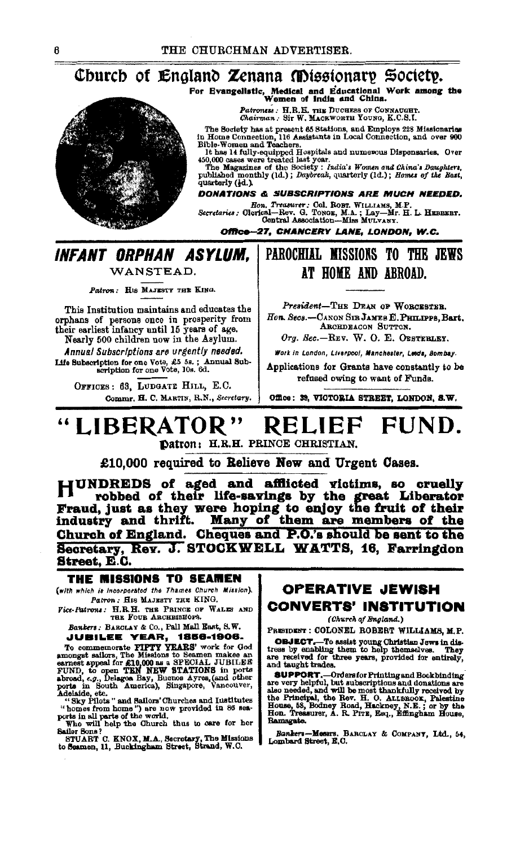### Church of England Zenana Missionary Society.

For Evangelistic, Medical and Educational Work among the Women of India and China.

Patroness : H.R.H. THE DUCHESS OF CONNAUGHT.<br>Chairman : Sir W. MACKWORTH YOUNG, K.C.S.I.

The Bookiv has a present 65 Stations, and Employs 228 Missionaries<br>in Home Connection, 116 Assistins, and Employs 228 Missionaries<br>in Home Connection, 116 Assistinate in Local Connection, and over 900<br>Bible-Women and Teach

quarterly (4d.).

DONATIONS & SUBSCRIPTIONS ARE MUCH NEEDED.

Hon. Treasurer: Col. ROBT. WILLIAMS, M.P.<br>Secretaries: Olerical-Rev. G. TONGE, M.A.; Lay-Mr. H. L. HEBBEBT.<br>Contral Association-Miss MULVANY.

Office-27, CHANCERY LANE, LONDON, W.C.

### INFANT ORPHAN ASYLUM. WANSTEAD.

Patron: HIS MAJESTY THE KING.

This Institution maintains and educates the orphans of persons once in prosperity from<br>their earliest infancy until 15 years of age.

Nearly 500 children now in the Asylum. Annual Subscriptions are urgently needed.

Life Subscription for one Vote, £5 5s.; Annual Sub-<br>scription for one Vote, 10s. 6d.

OFFICES: 63, LUDGATE HILL, E.C. Commr. H. C. MARTIN, R.N., Secretary.

### PAROCHIAL MISSIONS TO THE JEWS AT HOME AND ABROAD.

President-THE DEAN OF WORCESTER. Hon. Secs.-CANON SIR JAMES E. PHILIPPS, Bart. ARCHDEACON SUTTON.

Org. Sec.-REV. W. O. E. OESTERLEY.

Work in London, Liverpool, Manchester, Leeds, Bombay.

Applications for Grants have constantly to be refused owing to want of Funds.

Office: 39, VICTORIA STREET, LONDON, S.W.

#### "LIBERATOR" RELIEF FUND. Datron: H.R.H. PRINCE CHRISTIAN.

£10,000 required to Relieve New and Urgent Cases.

HUNDREDS of aged and afflicted victims, so cruelly robbed of their life-savings by the great Liberator Fraud, just as they were hoping to enjoy the fruit of their<br>industry and thrift. Many of them are members of the industry and thrift. Church of England. Cheques and P.O.'s should be sent to the Secretary, Rev. J. STOCKWELL WATTS, 16, Farringdon Street, E.C.

#### THE MISSIONS TO SEAMEN

(with which is incorporated the Thames Church Mission). Patron: HIS MAJESTY THE KING.

Vice-Patrons: H.R.H. THE PRINCE OF WALES AND THE FOUR ARCHBISHOPS.

Bankers: BARCLAY & Co., Pall Mall East, S.W. **JUBILEE YEAR, 1856-1906.** 

JUBILEE VEARY, TSORY THE STATE of commemorate PIPTY YEARS' work for God<br>amongst saliors, The Missions to Seamen makee an<br>exnest sapeal for £10,000 as a SPECIAL JUBILEE<br>FIND, to open TEM NEW STATIONS in ports<br>abroad, e.g.,

"Sky rings said names") are now provided in 86 sea-<br>ports in all parts of the world.<br>ports in all parts of the world.<br>Who will help the Ohurch thus to care for her<br>Sailor Bons?

STUART C. KNOX, M.A., Secretary, The Missions to Seamen, 11, Buckingham Street, Strand, W.C.

### **OPERATIVE JEWISH CONVERTS' INSTITUTION**

(Church of England.)

PRESIDENT: COLONEL ROBERT WILLIAMS, M.P.

**OBJECT.** To assist young Christian Jews in distress by enabling them to help themselves. They are received for three years, provided for entirely, and taught trades.

and way a way. The consider Printing and Bookbinding<br>are very helpful, but subscriptions and donations are<br>also needed, and will be most thankfully received by<br>the Principal, the Rev. H. O. ALLEROOK, Palestine<br>House, 55, B Ramsgate.

Bankers-Messrs. BARCLAY & COMPANT, Ltd., 54, Lombard Street, E.C.

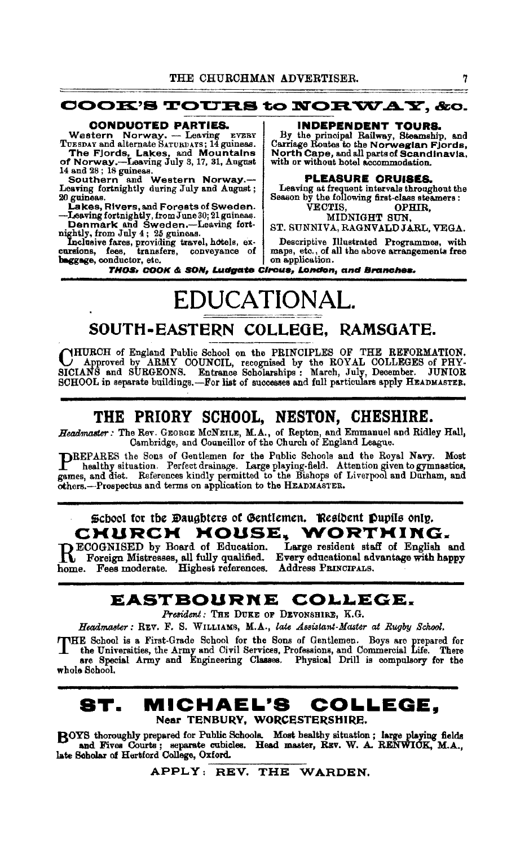#### **COOK'S TOURS to NORWAY, &o.**

#### CONDUCTED PARTIES.

Western Norway. - Leaving EVERY TUESDAY and alternate SATURDAYS; 14 guineas.

The Fjords, Lakes, and Mountains<br>of Norway.—Leaving July 3, 17, 31, Angust<br>14 and 28; 18 guiness.<br>Southern and Western Norway.—<br>Leaving fortaightly during July and August;<br>20 guiness.<br>Lakes, Rivers, and Forests of Sweden.

-Leaving fortnightly, from June 30; 21 guineas.<br>
Denmark and Sweden.--Leaving fort-<br>
str. SUNNIVA, RAGNVALDJARL, VEGA.<br>
Nichtly from July 4: 95 guineas.

beggage, conductor, etc.  $\qquad \qquad$  on application.

INDEPENDENT TOURS.

By the principal Railway, Steamship, and<br>Carriage Routes to the Norwegian Fjords, North Cape, and all parts of Scandinavia, with or without hotel accommodation.

#### PLEASURE CRUISES.

Leaving at frequent intervals throughout the<br>Season by the following first-class steamers: VECTIS, OPHIR,<br>MIDNIGHT SUN,

nightly, from July 4; 25 guineas.<br>
Inclusive fares, providing travel, hotels, ex<br>
cursions, fees, transfers, conveyance of maps, etc., of all the above arrangements free

THOS<sub>1</sub> COOK & SON, Ludgate Circus, London, and Branches.

## EDUCATIONAL.

### SOUTH-EASTERN COLLBOE, RAMSOATE.

CHURCH of England Public School on the PRINCIPLES OF THE REFORMATION.<br>SICIANS and SURGEONS. Entrance Scholarships : March, July, December. JUNIOR<br>SCHOOL in separate buildings.—For list of successes and full particulars app

### THE PRIORY SCHOOL, NESTON, CHESHIRE.

Headmaster: The Rev. GEORGE MCNEILE, M.A., of Repton, and Emmanuel and Ridley Hall, Cam bridge, and Councillor of the Church of England League.

PREPARES the Sons of Gentlemen for the Public Schools and the Royal Navy. Most healthy situation. Perfect drainage. Large playing-field. Attention given to gymnastics, games, and diet. References kindly permitted to the Bishops of Liverpool and Durham, and others.-Prospectua and terms on application to the HEADMASTER.

### \$cbool for the Daughters of Gentlemen. Resident Pupils only. CHURCH HOUSE. WORTHING.

RECOGNISED by Board of Education. Large resident staff of English and Foreign Mistresses, all fully qualified. Every educational advantage with happy home. Fees moderate. Highest references. Address PRINCIPALS.

## EASTBOURNE COLLEGE.

President: THE DUKE OF DEVONSHIRE, K.G.

Headmaster: REV. F. S. WILLIAMS, M.A., *late Assistant-Master at Rugby School*.

THE School is a First-Grade School for the Sons of Gentlemen. Boys are prepared for the Universities, the Army and Civil Services, Professions, and Commercial Life. There are Special Army and Engineering Classes. Physical whole School.

### ST. MICHAEL'S COLLEGE, Near TENBURV, WORCESTERSHIRE.

ROYS thoroughly prepared for Public Schools. Most healthy situation; large playing fields **LAU and Fives Courts;** separate cubicles. Head master, REV. W. A. RENWICK, M.A., late Scholar of Hertford College, Oxford. bs; separate cubicles. Head master, REV. W. A.<br>rd College, Oxford.<br>APPLY: REV. THE WARDEN.